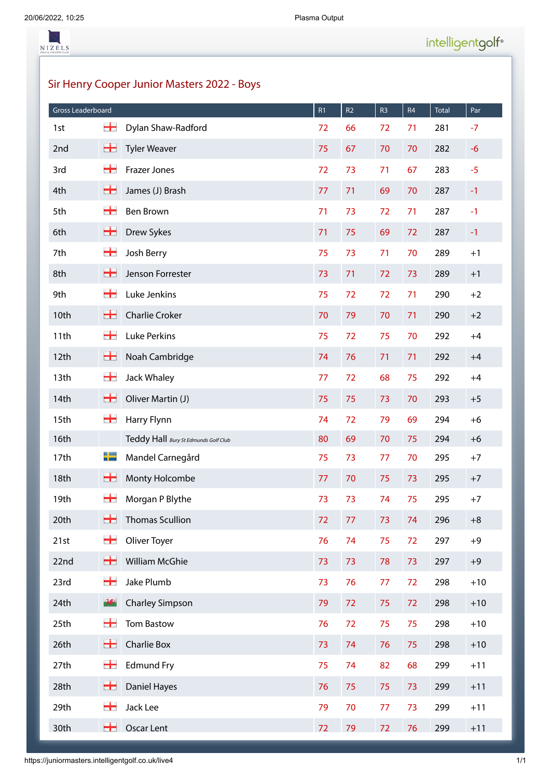NIZELS

Sir Henry Cooper Junior Masters 2022 - Boys

| Gross Leaderboard |               |                                      | R1 | R <sub>2</sub> | R <sub>3</sub> | R4 | <b>Total</b> | Par   |
|-------------------|---------------|--------------------------------------|----|----------------|----------------|----|--------------|-------|
| 1st               | ٣.            | Dylan Shaw-Radford                   | 72 | 66             | 72             | 71 | 281          | $-7$  |
| 2nd               | +             | <b>Tyler Weaver</b>                  | 75 | 67             | 70             | 70 | 282          | $-6$  |
| 3rd               | ╅             | Frazer Jones                         | 72 | 73             | 71             | 67 | 283          | $-5$  |
| 4th               | +             | James (J) Brash                      | 77 | 71             | 69             | 70 | 287          | $-1$  |
| 5th               | ٣.            | <b>Ben Brown</b>                     | 71 | 73             | 72             | 71 | 287          | $-1$  |
| 6th               | ٣.            | Drew Sykes                           | 71 | 75             | 69             | 72 | 287          | $-1$  |
| 7th               | ╅             | Josh Berry                           | 75 | 73             | 71             | 70 | 289          | $+1$  |
| 8th               | ٣.            | Jenson Forrester                     | 73 | 71             | 72             | 73 | 289          | $+1$  |
| 9th               | ٣.            | Luke Jenkins                         | 75 | 72             | 72             | 71 | 290          | $+2$  |
| 10th              | +             | <b>Charlie Croker</b>                | 70 | 79             | 70             | 71 | 290          | $+2$  |
| 11th              | ╅             | <b>Luke Perkins</b>                  | 75 | 72             | 75             | 70 | 292          | $+4$  |
| 12th              | ٣.            | Noah Cambridge                       | 74 | 76             | 71             | 71 | 292          | $+4$  |
| 13th              | ٣.            | Jack Whaley                          | 77 | 72             | 68             | 75 | 292          | $+4$  |
| 14th              | +             | Oliver Martin (J)                    | 75 | 75             | 73             | 70 | 293          | $+5$  |
| 15th              | ╅             | Harry Flynn                          | 74 | 72             | 79             | 69 | 294          | $+6$  |
| 16th              |               | Teddy Hall Bury St Edmunds Golf Club | 80 | 69             | 70             | 75 | 294          | $+6$  |
| 17th              | 士             | Mandel Carnegård                     | 75 | 73             | 77             | 70 | 295          | $+7$  |
| 18th              | ╈             | Monty Holcombe                       | 77 | 70             | 75             | 73 | 295          | $+7$  |
| 19th              | ╅             | Morgan P Blythe                      | 73 | 73             | 74             | 75 | 295          | $+7$  |
| 20th              | 55            | Thomas Scullion                      | 72 | 77             | 73             | 74 | 296          | $+8$  |
| 21st              | ╅             | Oliver Toyer                         | 76 | 74             | 75             | 72 | 297          | $+9$  |
| 22nd              | +             | William McGhie                       | 73 | 73             | 78             | 73 | 297          | $+9$  |
| 23rd              | ÷             | Jake Plumb                           | 73 | 76             | 77             | 72 | 298          | $+10$ |
| 24th              | $\frac{1}{2}$ | <b>Charley Simpson</b>               | 79 | 72             | 75             | 72 | 298          | $+10$ |
| 25th              | ٣.            | Tom Bastow                           | 76 | 72             | 75             | 75 | 298          | $+10$ |
| 26th              | ╈             | Charlie Box                          | 73 | 74             | 76             | 75 | 298          | $+10$ |
| 27th              | ╈             | <b>Edmund Fry</b>                    | 75 | 74             | 82             | 68 | 299          | $+11$ |
| 28th              | ٣.            | Daniel Hayes                         | 76 | 75             | 75             | 73 | 299          | $+11$ |
| 29th              | 22            | Jack Lee                             | 79 | 70             | 77             | 73 | 299          | $+11$ |
| 30th              | 55            | Oscar Lent                           | 72 | 79             | 72             | 76 | 299          | $+11$ |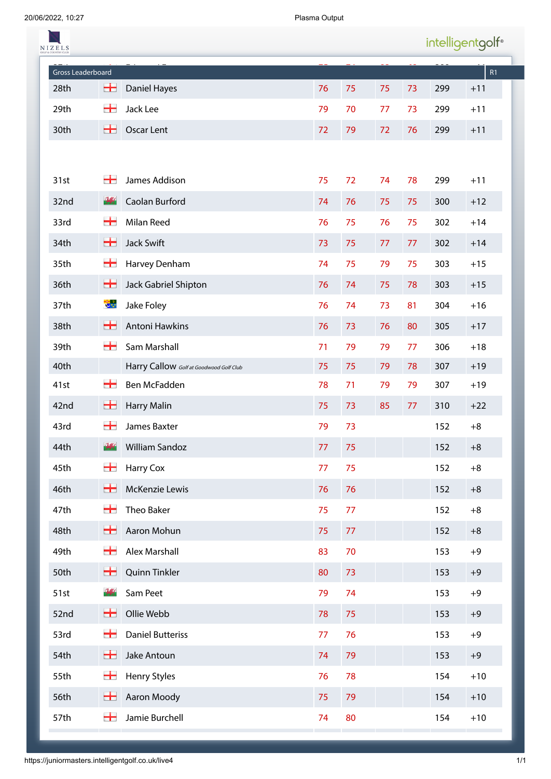20/06/2022, 10:27 Plasma Output

| <b>VIZELS</b>     |               |                                         |    |    |    |    |     | intelligentgolf® |
|-------------------|---------------|-----------------------------------------|----|----|----|----|-----|------------------|
| Gross Leaderboard |               |                                         |    |    |    |    |     | R1               |
| 28th              | +             | Daniel Hayes                            | 76 | 75 | 75 | 73 | 299 | $+11$            |
| 29th              | ╅             | Jack Lee                                | 79 | 70 | 77 | 73 | 299 | $+11$            |
| 30th              | ₩,            | <b>Oscar Lent</b>                       | 72 | 79 | 72 | 76 | 299 | $+11$            |
|                   |               |                                         |    |    |    |    |     |                  |
| 31st              | ╈             | James Addison                           | 75 | 72 | 74 | 78 | 299 | $+11$            |
| 32nd              | $\sqrt{3}$    | Caolan Burford                          | 74 | 76 | 75 | 75 | 300 | $+12$            |
| 33rd              | ╈             | Milan Reed                              | 76 | 75 | 76 | 75 | 302 | $+14$            |
| 34th              | ₩,            | <b>Jack Swift</b>                       | 73 | 75 | 77 | 77 | 302 | $+14$            |
| 35th              | ╅             | Harvey Denham                           | 74 | 75 | 79 | 75 | 303 | $+15$            |
| 36th              | ╈             | Jack Gabriel Shipton                    | 76 | 74 | 75 | 78 | 303 | $+15$            |
| 37th              | 讲             | Jake Foley                              | 76 | 74 | 73 | 81 | 304 | $+16$            |
| 38th              | ╈             | Antoni Hawkins                          | 76 | 73 | 76 | 80 | 305 | $+17$            |
| 39th              | ╈             | Sam Marshall                            | 71 | 79 | 79 | 77 | 306 | $+18$            |
| 40th              |               | Harry Callow Golf at Goodwood Golf Club | 75 | 75 | 79 | 78 | 307 | $+19$            |
| 41st              | ╈             | Ben McFadden                            | 78 | 71 | 79 | 79 | 307 | $+19$            |
| 42nd              | ╈             | <b>Harry Malin</b>                      | 75 | 73 | 85 | 77 | 310 | $+22$            |
| 43rd              | ╈             | James Baxter                            | 79 | 73 |    |    | 152 | $+8$             |
| 44th              | $\frac{1}{2}$ | <b>William Sandoz</b>                   | 77 | 75 |    |    | 152 | $+8$             |
| 45th              | ╈             | Harry Cox                               | 77 | 75 |    |    | 152 | $+8$             |
| 46th              | 5             | McKenzie Lewis                          | 76 | 76 |    |    | 152 | $+8$             |
| 47th              | ╅             | Theo Baker                              | 75 | 77 |    |    | 152 | $+8$             |
| 48th              | ₩             | Aaron Mohun                             | 75 | 77 |    |    | 152 | $+8$             |
| 49th              | ÷             | Alex Marshall                           | 83 | 70 |    |    | 153 | $+9$             |
| 50th              | ₩             | Quinn Tinkler                           | 80 | 73 |    |    | 153 | $+9$             |
| 51st              | $\frac{1}{2}$ | Sam Peet                                | 79 | 74 |    |    | 153 | $+9$             |
| 52nd              | ₩             | Ollie Webb                              | 78 | 75 |    |    | 153 | $+9$             |
| 53rd              | 22            | <b>Daniel Butteriss</b>                 | 77 | 76 |    |    | 153 | $+9$             |
| 54th              | ₩             | Jake Antoun                             | 74 | 79 |    |    | 153 | $+9$             |
| 55th              | ╅             | Henry Styles                            | 76 | 78 |    |    | 154 | $+10$            |
| 56th              | ₩,            | Aaron Moody                             | 75 | 79 |    |    | 154 | $+10$            |
| 57th              | ٣.            | Jamie Burchell                          | 74 | 80 |    |    | 154 | $+10$            |
|                   |               |                                         |    |    |    |    |     |                  |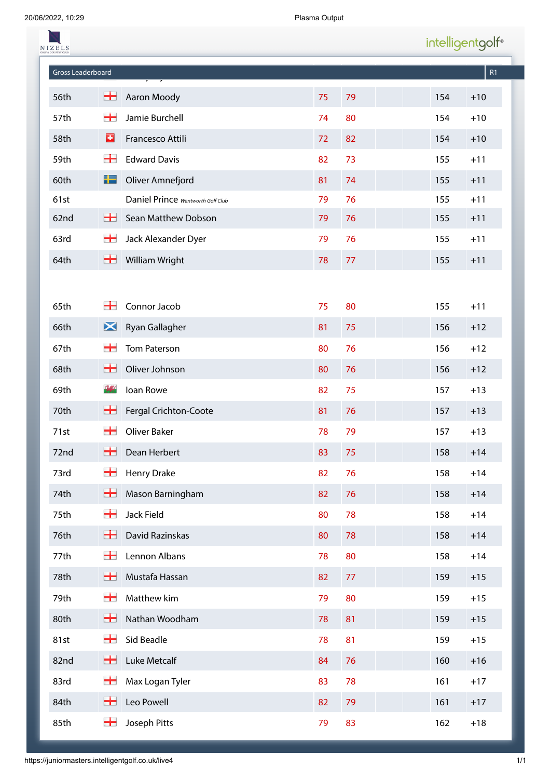| NIZELS            |               |                                   |    |    |     | intelligentgolf® |
|-------------------|---------------|-----------------------------------|----|----|-----|------------------|
| Gross Leaderboard |               |                                   |    |    |     | R1               |
| 56th              | $\pm$         | Aaron Moody                       | 75 | 79 | 154 | $+10$            |
| 57th              | ٣.            | Jamie Burchell                    | 74 | 80 | 154 | $+10$            |
| 58th              | o             | Francesco Attili                  | 72 | 82 | 154 | $+10$            |
| 59th              | ┿             | <b>Edward Davis</b>               | 82 | 73 | 155 | $+11$            |
| 60th              | ╄             | Oliver Amnefjord                  | 81 | 74 | 155 | $+11$            |
| 61st              |               | Daniel Prince Wentworth Golf Club | 79 | 76 | 155 | $+11$            |
| 62nd              | ₩.            | Sean Matthew Dobson               | 79 | 76 | 155 | $+11$            |
| 63rd              | ╈             | Jack Alexander Dyer               | 79 | 76 | 155 | $+11$            |
| 64th              | ╈             | William Wright                    | 78 | 77 | 155 | $+11$            |
|                   |               |                                   |    |    |     |                  |
| 65th              | 22            | Connor Jacob                      | 75 | 80 | 155 | $+11$            |
| 66th              | $\bm{\times}$ | Ryan Gallagher                    | 81 | 75 | 156 | $+12$            |
| 67th              | ۰.            | <b>Tom Paterson</b>               | 80 | 76 | 156 | $+12$            |
| 68th              | 5             | Oliver Johnson                    | 80 | 76 | 156 | $+12$            |
| 69th              | V.S           | Ioan Rowe                         | 82 | 75 | 157 | $+13$            |
| 70th              | 55            | Fergal Crichton-Coote             | 81 | 76 | 157 | $+13$            |
| 71st              | ٣.            | Oliver Baker                      | 78 | 79 | 157 | $+13$            |
| 72nd              | ₩             | Dean Herbert                      | 83 | 75 | 158 | $+14$            |
| 73rd              | ╅             | Henry Drake                       | 82 | 76 | 158 | $+14$            |
| 74th              | 士             | Mason Barningham                  | 82 | 76 | 158 | $+14$            |
| 75th              | ╅             | Jack Field                        | 80 | 78 | 158 | $+14$            |
| 76th              | ٣.            | David Razinskas                   | 80 | 78 | 158 | $+14$            |
| 77th              | ╅             | Lennon Albans                     | 78 | 80 | 158 | $+14$            |
| 78th              | ٣.            | Mustafa Hassan                    | 82 | 77 | 159 | $+15$            |
| 79th              | ╅             | Matthew kim                       | 79 | 80 | 159 | $+15$            |
| 80th              | ╈             | Nathan Woodham                    | 78 | 81 | 159 | $+15$            |
| 81st              | ╅             | Sid Beadle                        | 78 | 81 | 159 | $+15$            |
| 82nd              | ₩,            | Luke Metcalf                      | 84 | 76 | 160 | $+16$            |
| 83rd              | ╅             | Max Logan Tyler                   | 83 | 78 | 161 | $+17$            |
| 84th              | ۰             | Leo Powell                        | 82 | 79 | 161 | $+17$            |
| 85th              | ٣.            | Joseph Pitts                      | 79 | 83 | 162 | $+18$            |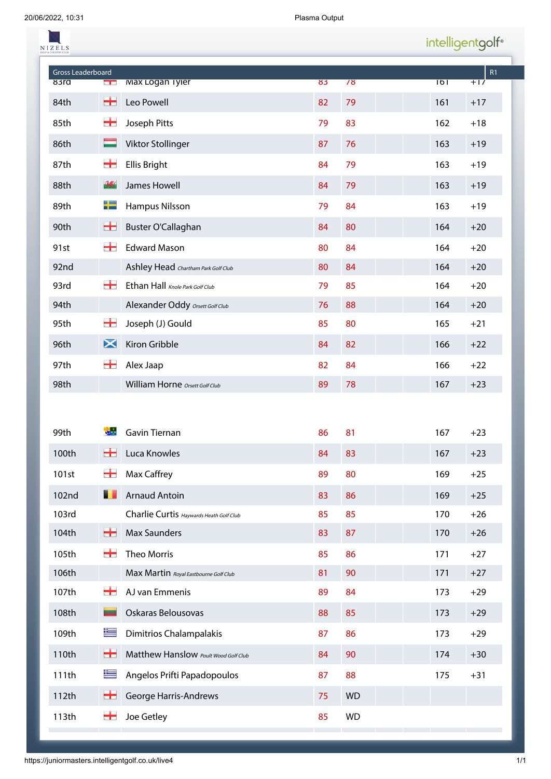| NIZELS                    |                            |                                         |    |           | intelligentgolf <sup>®</sup> |             |
|---------------------------|----------------------------|-----------------------------------------|----|-----------|------------------------------|-------------|
| Gross Leaderboard<br>83ra |                            | <b>Max Logan Tyler</b>                  | 83 | 78        | $\overline{101}$             | R1<br>$+17$ |
| 84th                      | $\blacksquare$<br>士        | Leo Powell                              | 82 | 79        | 161                          | $+17$       |
| 85th                      | ╅                          | Joseph Pitts                            | 79 | 83        | 162                          | $+18$       |
|                           |                            |                                         |    |           |                              |             |
| 86th                      |                            | Viktor Stollinger                       | 87 | 76        | 163                          | $+19$       |
| 87th                      | ۳                          | <b>Ellis Bright</b>                     | 84 | 79        | 163                          | $+19$       |
| 88th                      | $\mathbf{V}_{\alpha\beta}$ | James Howell                            | 84 | 79        | 163                          | $+19$       |
| 89th                      | ╄                          | Hampus Nilsson                          | 79 | 84        | 163                          | $+19$       |
| 90th                      | 55                         | Buster O'Callaghan                      | 84 | 80        | 164                          | $+20$       |
| 91st                      | ÷                          | <b>Edward Mason</b>                     | 80 | 84        | 164                          | $+20$       |
| 92nd                      |                            | Ashley Head Chartham Park Golf Club     | 80 | 84        | 164                          | $+20$       |
| 93rd                      | ┿                          | Ethan Hall Knole Park Golf Club         | 79 | 85        | 164                          | $+20$       |
| 94th                      |                            | Alexander Oddy Orsett Golf Club         | 76 | 88        | 164                          | $+20$       |
| 95th                      | ۳.                         | Joseph (J) Gould                        | 85 | 80        | 165                          | $+21$       |
| 96th                      | $\bm{\times}$              | Kiron Gribble                           | 84 | 82        | 166                          | $+22$       |
| 97th                      | ÷                          | Alex Jaap                               | 82 | 84        | 166                          | $+22$       |
| 98th                      |                            | William Horne Orsett Golf Club          | 89 | 78        | 167                          | $+23$       |
|                           |                            |                                         |    |           |                              |             |
| 99th                      |                            | Gavin Tiernan                           | 86 | 81        | 167                          | $+23$       |
| 100th                     | 55                         | Luca Knowles                            | 84 | 83        | 167                          | $+23$       |
| 101st                     | ╅                          | Max Caffrey                             | 89 | 80        | 169                          | $+25$       |
| 102nd                     | ш                          | <b>Arnaud Antoin</b>                    | 83 | 86        | 169                          | $+25$       |
| 103rd                     |                            | Charlie Curtis Haywards Heath Golf Club | 85 | 85        | 170                          | $+26$       |
| 104th                     | +                          | <b>Max Saunders</b>                     | 83 | 87        | 170                          | $+26$       |
| 105th                     | 22                         | Theo Morris                             | 85 | 86        | 171                          | $+27$       |
| 106th                     |                            | Max Martin Royal Eastbourne Golf Club   | 81 | 90        | 171                          | $+27$       |
| 107th                     | ╈                          | AJ van Emmenis                          | 89 | 84        | 173                          | $+29$       |
| 108th                     | ▃                          | Oskaras Belousovas                      | 88 | 85        | 173                          | $+29$       |
| 109th                     | 隼                          | Dimitrios Chalampalakis                 | 87 | 86        | 173                          | $+29$       |
| 110th                     | 士                          | Matthew Hanslow Poult Wood Golf Club    | 84 | 90        | 174                          | $+30$       |
| 111th                     | 隼                          | Angelos Prifti Papadopoulos             | 87 | 88        | 175                          | $+31$       |
| 112th                     | 55                         | George Harris-Andrews                   | 75 | <b>WD</b> |                              |             |
| 113th                     | ╅                          | Joe Getley                              | 85 | <b>WD</b> |                              |             |
|                           |                            |                                         |    |           |                              |             |